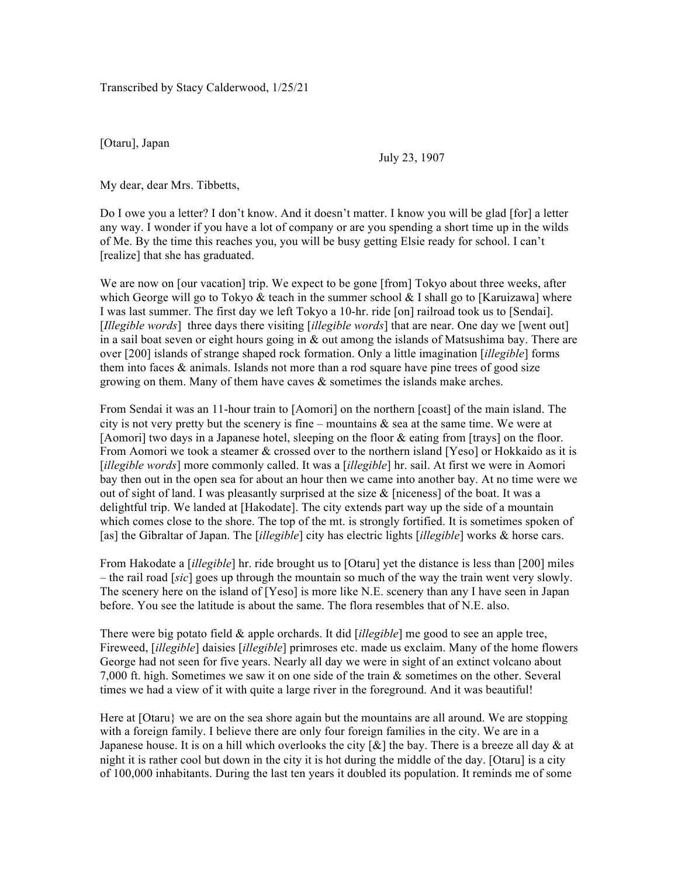Transcribed by Stacy Calderwood, 1/25/21

[Otaru], Japan

July 23, 1907

My dear, dear Mrs. Tibbetts,

Do I owe you a letter? I don't know. And it doesn't matter. I know you will be glad [for] a letter any way. I wonder if you have a lot of company or are you spending a short time up in the wilds of Me. By the time this reaches you, you will be busy getting Elsie ready for school. I can't [realize] that she has graduated.

We are now on [our vacation] trip. We expect to be gone [from] Tokyo about three weeks, after which George will go to Tokyo & teach in the summer school & I shall go to [Karuizawa] where I was last summer. The first day we left Tokyo a 10-hr. ride [on] railroad took us to [Sendai]. [*Illegible words*] three days there visiting [*illegible words*] that are near. One day we [went out] in a sail boat seven or eight hours going in  $\&$  out among the islands of Matsushima bay. There are over [200] islands of strange shaped rock formation. Only a little imagination [*illegible*] forms them into faces  $\&$  animals. Islands not more than a rod square have pine trees of good size growing on them. Many of them have caves  $\&$  sometimes the islands make arches.

From Sendai it was an 11-hour train to [Aomori] on the northern [coast] of the main island. The city is not very pretty but the scenery is fine – mountains  $\&$  sea at the same time. We were at [Aomori] two days in a Japanese hotel, sleeping on the floor & eating from [trays] on the floor. From Aomori we took a steamer & crossed over to the northern island [Yeso] or Hokkaido as it is [*illegible words*] more commonly called. It was a [*illegible*] hr. sail. At first we were in Aomori bay then out in the open sea for about an hour then we came into another bay. At no time were we out of sight of land. I was pleasantly surprised at the size  $\&$  [niceness] of the boat. It was a delightful trip. We landed at [Hakodate]. The city extends part way up the side of a mountain which comes close to the shore. The top of the mt. is strongly fortified. It is sometimes spoken of [as] the Gibraltar of Japan. The [*illegible*] city has electric lights [*illegible*] works & horse cars.

From Hakodate a [*illegible*] hr. ride brought us to [Otaru] yet the distance is less than [200] miles – the rail road [*sic*] goes up through the mountain so much of the way the train went very slowly. The scenery here on the island of [Yeso] is more like N.E. scenery than any I have seen in Japan before. You see the latitude is about the same. The flora resembles that of N.E. also.

There were big potato field & apple orchards. It did [*illegible*] me good to see an apple tree, Fireweed, [*illegible*] daisies [*illegible*] primroses etc. made us exclaim. Many of the home flowers George had not seen for five years. Nearly all day we were in sight of an extinct volcano about 7,000 ft. high. Sometimes we saw it on one side of the train  $\&$  sometimes on the other. Several times we had a view of it with quite a large river in the foreground. And it was beautiful!

Here at [Otaru} we are on the sea shore again but the mountains are all around. We are stopping with a foreign family. I believe there are only four foreign families in the city. We are in a Japanese house. It is on a hill which overlooks the city  $\lceil \alpha \rceil$  the bay. There is a breeze all day  $\alpha$  at night it is rather cool but down in the city it is hot during the middle of the day. [Otaru] is a city of 100,000 inhabitants. During the last ten years it doubled its population. It reminds me of some